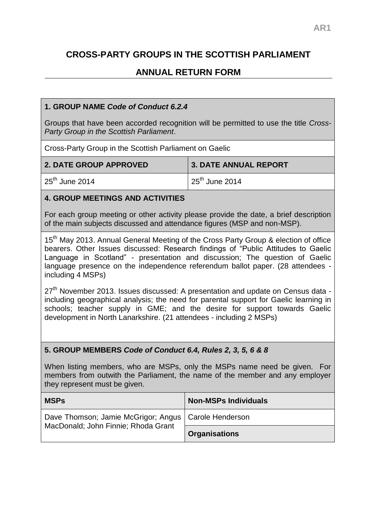# **CROSS-PARTY GROUPS IN THE SCOTTISH PARLIAMENT**

# **ANNUAL RETURN FORM**

### **1. GROUP NAME** *Code of Conduct 6.2.4*

Groups that have been accorded recognition will be permitted to use the title *Cross-Party Group in the Scottish Parliament*.

Cross-Party Group in the Scottish Parliament on Gaelic

| <b>2. DATE GROUP APPROVED</b> | 3. DATE ANNUAL REPORT       |
|-------------------------------|-----------------------------|
| $25th$ June 2014              | $\frac{1}{25}$ th June 2014 |

#### **4. GROUP MEETINGS AND ACTIVITIES**

For each group meeting or other activity please provide the date, a brief description of the main subjects discussed and attendance figures (MSP and non-MSP).

15<sup>th</sup> May 2013. Annual General Meeting of the Cross Party Group & election of office bearers. Other Issues discussed: Research findings of "Public Attitudes to Gaelic Language in Scotland" - presentation and discussion; The question of Gaelic language presence on the independence referendum ballot paper. (28 attendees including 4 MSPs)

27<sup>th</sup> November 2013. Issues discussed: A presentation and update on Census data including geographical analysis; the need for parental support for Gaelic learning in schools; teacher supply in GME; and the desire for support towards Gaelic development in North Lanarkshire. (21 attendees - including 2 MSPs)

#### **5. GROUP MEMBERS** *Code of Conduct 6.4, Rules 2, 3, 5, 6 & 8*

When listing members, who are MSPs, only the MSPs name need be given. For members from outwith the Parliament, the name of the member and any employer they represent must be given.

| <b>MSPs</b>                                                                                   | <b>Non-MSPs Individuals</b> |
|-----------------------------------------------------------------------------------------------|-----------------------------|
| Dave Thomson; Jamie McGrigor; Angus   Carole Henderson<br>MacDonald; John Finnie; Rhoda Grant |                             |
|                                                                                               | <b>Organisations</b>        |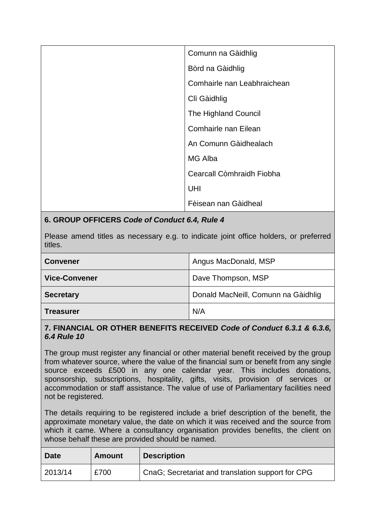| Comunn na Gàidhlig          |
|-----------------------------|
| Bòrd na Gàidhlig            |
| Comhairle nan Leabhraichean |
| Clì Gàidhlig                |
| The Highland Council        |
| Comhairle nan Eilean        |
| An Comunn Gàidhealach       |
| MG Alba                     |
| Cearcall Còmhraidh Fiobha   |
| UHI                         |
| Fèisean nan Gàidheal        |

### **6. GROUP OFFICERS** *Code of Conduct 6.4, Rule 4*

Please amend titles as necessary e.g. to indicate joint office holders, or preferred titles.

| <b>Convener</b>      | Angus MacDonald, MSP                |
|----------------------|-------------------------------------|
| <b>Vice-Convener</b> | Dave Thompson, MSP                  |
| <b>Secretary</b>     | Donald MacNeill, Comunn na Gàidhlig |
| Treasurer            | N/A                                 |

#### **7. FINANCIAL OR OTHER BENEFITS RECEIVED** *Code of Conduct 6.3.1 & 6.3.6, 6.4 Rule 10*

The group must register any financial or other material benefit received by the group from whatever source, where the value of the financial sum or benefit from any single source exceeds £500 in any one calendar year. This includes donations, sponsorship, subscriptions, hospitality, gifts, visits, provision of services or accommodation or staff assistance. The value of use of Parliamentary facilities need not be registered.

The details requiring to be registered include a brief description of the benefit, the approximate monetary value, the date on which it was received and the source from which it came. Where a consultancy organisation provides benefits, the client on whose behalf these are provided should be named.

| <b>Date</b> | <b>Amount</b> | <b>Description</b>                                |
|-------------|---------------|---------------------------------------------------|
| 2013/14     | £700          | CnaG; Secretariat and translation support for CPG |